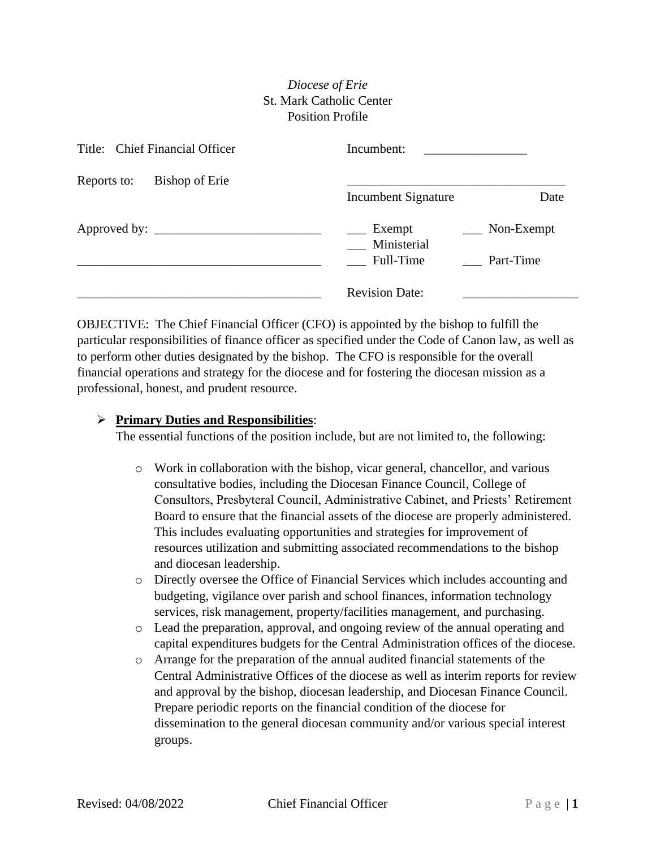## *Diocese of Erie* St. Mark Catholic Center Position Profile

| Title: Chief Financial Officer | Incumbent:                                      |                   |
|--------------------------------|-------------------------------------------------|-------------------|
| Bishop of Erie<br>Reports to:  | Incumbent Signature                             | Date              |
|                                | Exempt<br>Ministerial<br>Full-Time<br>Part-Time | $\sim$ Non-Exempt |
|                                | <b>Revision Date:</b>                           |                   |

OBJECTIVE: The Chief Financial Officer (CFO) is appointed by the bishop to fulfill the particular responsibilities of finance officer as specified under the Code of Canon law, as well as to perform other duties designated by the bishop. The CFO is responsible for the overall financial operations and strategy for the diocese and for fostering the diocesan mission as a professional, honest, and prudent resource.

## ➢ **Primary Duties and Responsibilities**:

The essential functions of the position include, but are not limited to, the following:

- o Work in collaboration with the bishop, vicar general, chancellor, and various consultative bodies, including the Diocesan Finance Council, College of Consultors, Presbyteral Council, Administrative Cabinet, and Priests' Retirement Board to ensure that the financial assets of the diocese are properly administered. This includes evaluating opportunities and strategies for improvement of resources utilization and submitting associated recommendations to the bishop and diocesan leadership.
- o Directly oversee the Office of Financial Services which includes accounting and budgeting, vigilance over parish and school finances, information technology services, risk management, property/facilities management, and purchasing.
- o Lead the preparation, approval, and ongoing review of the annual operating and capital expenditures budgets for the Central Administration offices of the diocese.
- o Arrange for the preparation of the annual audited financial statements of the Central Administrative Offices of the diocese as well as interim reports for review and approval by the bishop, diocesan leadership, and Diocesan Finance Council. Prepare periodic reports on the financial condition of the diocese for dissemination to the general diocesan community and/or various special interest groups.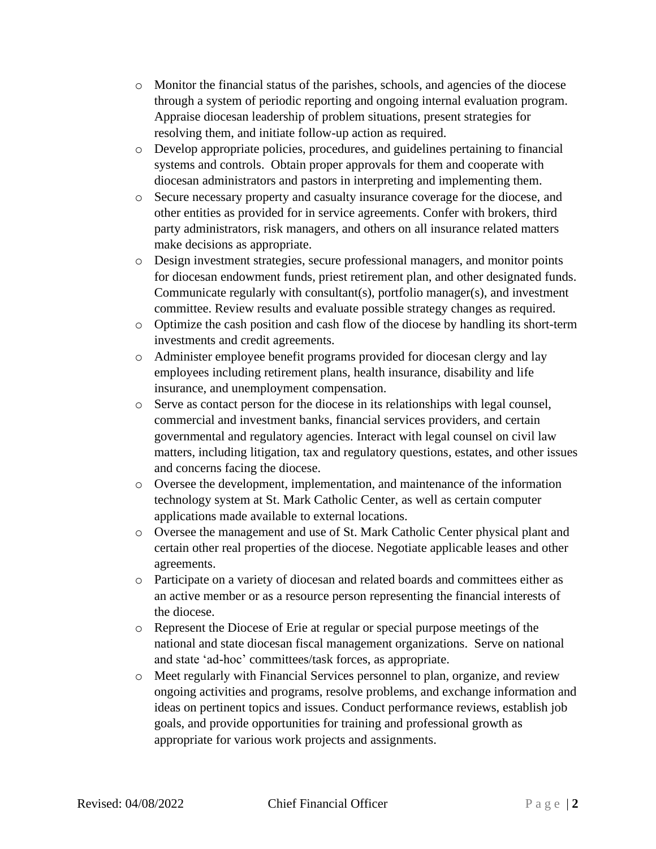- o Monitor the financial status of the parishes, schools, and agencies of the diocese through a system of periodic reporting and ongoing internal evaluation program. Appraise diocesan leadership of problem situations, present strategies for resolving them, and initiate follow-up action as required.
- o Develop appropriate policies, procedures, and guidelines pertaining to financial systems and controls. Obtain proper approvals for them and cooperate with diocesan administrators and pastors in interpreting and implementing them.
- o Secure necessary property and casualty insurance coverage for the diocese, and other entities as provided for in service agreements. Confer with brokers, third party administrators, risk managers, and others on all insurance related matters make decisions as appropriate.
- o Design investment strategies, secure professional managers, and monitor points for diocesan endowment funds, priest retirement plan, and other designated funds. Communicate regularly with consultant(s), portfolio manager(s), and investment committee. Review results and evaluate possible strategy changes as required.
- o Optimize the cash position and cash flow of the diocese by handling its short-term investments and credit agreements.
- o Administer employee benefit programs provided for diocesan clergy and lay employees including retirement plans, health insurance, disability and life insurance, and unemployment compensation.
- o Serve as contact person for the diocese in its relationships with legal counsel, commercial and investment banks, financial services providers, and certain governmental and regulatory agencies. Interact with legal counsel on civil law matters, including litigation, tax and regulatory questions, estates, and other issues and concerns facing the diocese.
- o Oversee the development, implementation, and maintenance of the information technology system at St. Mark Catholic Center, as well as certain computer applications made available to external locations.
- o Oversee the management and use of St. Mark Catholic Center physical plant and certain other real properties of the diocese. Negotiate applicable leases and other agreements.
- o Participate on a variety of diocesan and related boards and committees either as an active member or as a resource person representing the financial interests of the diocese.
- o Represent the Diocese of Erie at regular or special purpose meetings of the national and state diocesan fiscal management organizations. Serve on national and state 'ad-hoc' committees/task forces, as appropriate.
- o Meet regularly with Financial Services personnel to plan, organize, and review ongoing activities and programs, resolve problems, and exchange information and ideas on pertinent topics and issues. Conduct performance reviews, establish job goals, and provide opportunities for training and professional growth as appropriate for various work projects and assignments.